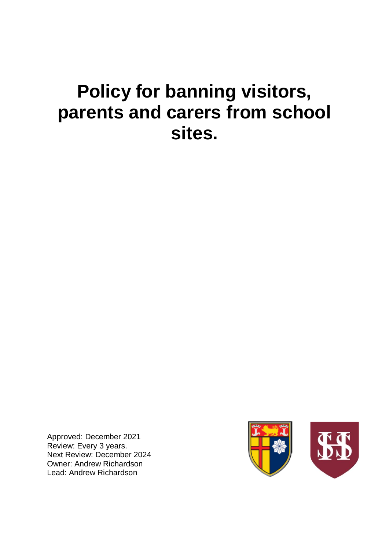# **Policy for banning visitors, parents and carers from school sites.**

Approved: December 2021 Review: Every 3 years. Next Review: December 2024 Owner: Andrew Richardson Lead: Andrew Richardson

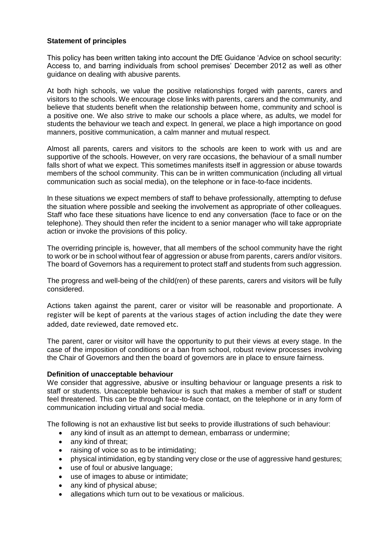# **Statement of principles**

This policy has been written taking into account the DfE Guidance 'Advice on school security: Access to, and barring individuals from school premises' December 2012 as well as other guidance on dealing with abusive parents.

At both high schools, we value the positive relationships forged with parents, carers and visitors to the schools. We encourage close links with parents, carers and the community, and believe that students benefit when the relationship between home, community and school is a positive one. We also strive to make our schools a place where, as adults, we model for students the behaviour we teach and expect. In general, we place a high importance on good manners, positive communication, a calm manner and mutual respect.

Almost all parents, carers and visitors to the schools are keen to work with us and are supportive of the schools. However, on very rare occasions, the behaviour of a small number falls short of what we expect. This sometimes manifests itself in aggression or abuse towards members of the school community. This can be in written communication (including all virtual communication such as social media), on the telephone or in face-to-face incidents.

In these situations we expect members of staff to behave professionally, attempting to defuse the situation where possible and seeking the involvement as appropriate of other colleagues. Staff who face these situations have licence to end any conversation (face to face or on the telephone). They should then refer the incident to a senior manager who will take appropriate action or invoke the provisions of this policy.

The overriding principle is, however, that all members of the school community have the right to work or be in school without fear of aggression or abuse from parents, carers and/or visitors. The board of Governors has a requirement to protect staff and students from such aggression.

The progress and well-being of the child(ren) of these parents, carers and visitors will be fully considered.

Actions taken against the parent, carer or visitor will be reasonable and proportionate. A register will be kept of parents at the various stages of action including the date they were added, date reviewed, date removed etc.

The parent, carer or visitor will have the opportunity to put their views at every stage. In the case of the imposition of conditions or a ban from school, robust review processes involving the Chair of Governors and then the board of governors are in place to ensure fairness.

# **Definition of unacceptable behaviour**

We consider that aggressive, abusive or insulting behaviour or language presents a risk to staff or students. Unacceptable behaviour is such that makes a member of staff or student feel threatened. This can be through face-to-face contact, on the telephone or in any form of communication including virtual and social media.

The following is not an exhaustive list but seeks to provide illustrations of such behaviour:

- any kind of insult as an attempt to demean, embarrass or undermine:
- any kind of threat:
- raising of voice so as to be intimidating:
- physical intimidation, eg by standing very close or the use of aggressive hand gestures;
- use of foul or abusive language;
- use of images to abuse or intimidate;
- any kind of physical abuse;
- allegations which turn out to be vexatious or malicious.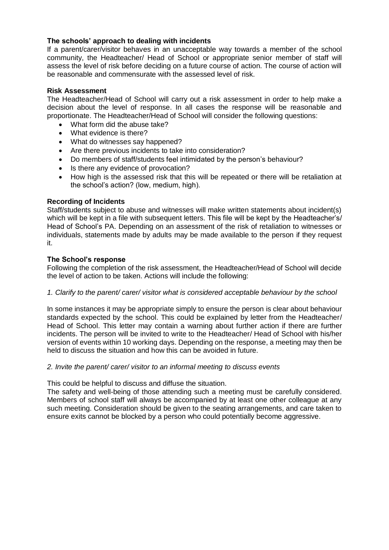# **The schools' approach to dealing with incidents**

If a parent/carer/visitor behaves in an unacceptable way towards a member of the school community, the Headteacher/ Head of School or appropriate senior member of staff will assess the level of risk before deciding on a future course of action. The course of action will be reasonable and commensurate with the assessed level of risk.

## **Risk Assessment**

The Headteacher/Head of School will carry out a risk assessment in order to help make a decision about the level of response. In all cases the response will be reasonable and proportionate. The Headteacher/Head of School will consider the following questions:

- What form did the abuse take?
- What evidence is there?
- What do witnesses say happened?
- Are there previous incidents to take into consideration?
- Do members of staff/students feel intimidated by the person's behaviour?
- Is there any evidence of provocation?
- How high is the assessed risk that this will be repeated or there will be retaliation at the school's action? (low, medium, high).

# **Recording of Incidents**

Staff/students subject to abuse and witnesses will make written statements about incident(s) which will be kept in a file with subsequent letters. This file will be kept by the Headteacher's/ Head of School's PA. Depending on an assessment of the risk of retaliation to witnesses or individuals, statements made by adults may be made available to the person if they request it.

## **The School's response**

Following the completion of the risk assessment, the Headteacher/Head of School will decide the level of action to be taken. Actions will include the following:

# *1. Clarify to the parent/ carer/ visitor what is considered acceptable behaviour by the school*

In some instances it may be appropriate simply to ensure the person is clear about behaviour standards expected by the school. This could be explained by letter from the Headteacher/ Head of School. This letter may contain a warning about further action if there are further incidents. The person will be invited to write to the Headteacher/ Head of School with his/her version of events within 10 working days. Depending on the response, a meeting may then be held to discuss the situation and how this can be avoided in future.

## *2. Invite the parent/ carer/ visitor to an informal meeting to discuss events*

This could be helpful to discuss and diffuse the situation.

The safety and well-being of those attending such a meeting must be carefully considered. Members of school staff will always be accompanied by at least one other colleague at any such meeting. Consideration should be given to the seating arrangements, and care taken to ensure exits cannot be blocked by a person who could potentially become aggressive.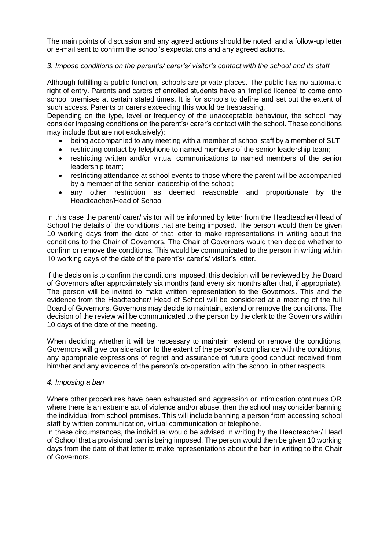The main points of discussion and any agreed actions should be noted, and a follow-up letter or e-mail sent to confirm the school's expectations and any agreed actions.

# *3. Impose conditions on the parent's/ carer's/ visitor's contact with the school and its staff*

Although fulfilling a public function, schools are private places. The public has no automatic right of entry. Parents and carers of enrolled students have an 'implied licence' to come onto school premises at certain stated times. It is for schools to define and set out the extent of such access. Parents or carers exceeding this would be trespassing.

Depending on the type, level or frequency of the unacceptable behaviour, the school may consider imposing conditions on the parent's/ carer's contact with the school. These conditions may include (but are not exclusively):

- being accompanied to any meeting with a member of school staff by a member of SLT;
- restricting contact by telephone to named members of the senior leadership team;
- restricting written and/or virtual communications to named members of the senior leadership team;
- restricting attendance at school events to those where the parent will be accompanied by a member of the senior leadership of the school;
- any other restriction as deemed reasonable and proportionate by the Headteacher/Head of School.

In this case the parent/ carer/ visitor will be informed by letter from the Headteacher/Head of School the details of the conditions that are being imposed. The person would then be given 10 working days from the date of that letter to make representations in writing about the conditions to the Chair of Governors. The Chair of Governors would then decide whether to confirm or remove the conditions. This would be communicated to the person in writing within 10 working days of the date of the parent's/ carer's/ visitor's letter.

If the decision is to confirm the conditions imposed, this decision will be reviewed by the Board of Governors after approximately six months (and every six months after that, if appropriate). The person will be invited to make written representation to the Governors. This and the evidence from the Headteacher/ Head of School will be considered at a meeting of the full Board of Governors. Governors may decide to maintain, extend or remove the conditions. The decision of the review will be communicated to the person by the clerk to the Governors within 10 days of the date of the meeting.

When deciding whether it will be necessary to maintain, extend or remove the conditions, Governors will give consideration to the extent of the person's compliance with the conditions, any appropriate expressions of regret and assurance of future good conduct received from him/her and any evidence of the person's co-operation with the school in other respects.

# *4. Imposing a ban*

Where other procedures have been exhausted and aggression or intimidation continues OR where there is an extreme act of violence and/or abuse, then the school may consider banning the individual from school premises. This will include banning a person from accessing school staff by written communication, virtual communication or telephone.

In these circumstances, the individual would be advised in writing by the Headteacher/ Head of School that a provisional ban is being imposed. The person would then be given 10 working days from the date of that letter to make representations about the ban in writing to the Chair of Governors.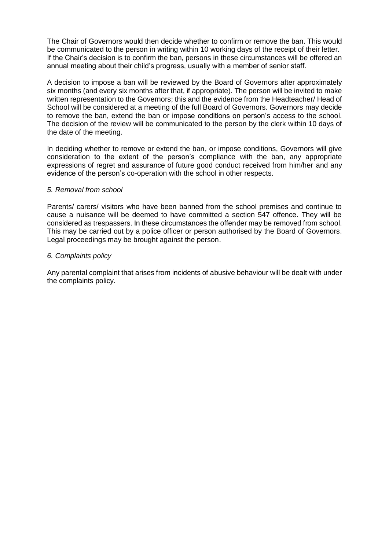The Chair of Governors would then decide whether to confirm or remove the ban. This would be communicated to the person in writing within 10 working days of the receipt of their letter. If the Chair's decision is to confirm the ban, persons in these circumstances will be offered an annual meeting about their child's progress, usually with a member of senior staff.

A decision to impose a ban will be reviewed by the Board of Governors after approximately six months (and every six months after that, if appropriate). The person will be invited to make written representation to the Governors; this and the evidence from the Headteacher/ Head of School will be considered at a meeting of the full Board of Governors. Governors may decide to remove the ban, extend the ban or impose conditions on person's access to the school. The decision of the review will be communicated to the person by the clerk within 10 days of the date of the meeting.

In deciding whether to remove or extend the ban, or impose conditions, Governors will give consideration to the extent of the person's compliance with the ban, any appropriate expressions of regret and assurance of future good conduct received from him/her and any evidence of the person's co-operation with the school in other respects.

## *5. Removal from school*

Parents/ carers/ visitors who have been banned from the school premises and continue to cause a nuisance will be deemed to have committed a section 547 offence. They will be considered as trespassers. In these circumstances the offender may be removed from school. This may be carried out by a police officer or person authorised by the Board of Governors. Legal proceedings may be brought against the person.

## *6. Complaints policy*

Any parental complaint that arises from incidents of abusive behaviour will be dealt with under the complaints policy.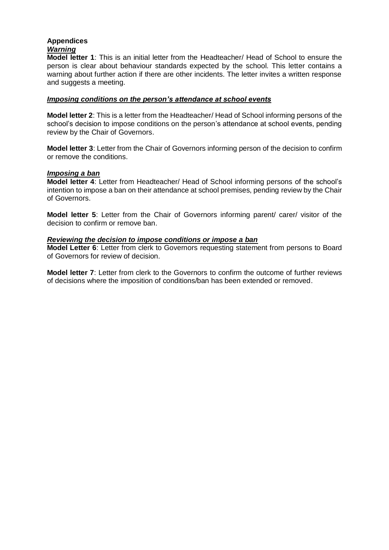# **Appendices**  *Warning*

**Model letter 1**: This is an initial letter from the Headteacher/ Head of School to ensure the person is clear about behaviour standards expected by the school. This letter contains a warning about further action if there are other incidents. The letter invites a written response and suggests a meeting.

## *Imposing conditions on the person's attendance at school events*

**Model letter 2**: This is a letter from the Headteacher/ Head of School informing persons of the school's decision to impose conditions on the person's attendance at school events, pending review by the Chair of Governors.

**Model letter 3**: Letter from the Chair of Governors informing person of the decision to confirm or remove the conditions.

## *Imposing a ban*

**Model letter 4**: Letter from Headteacher/ Head of School informing persons of the school's intention to impose a ban on their attendance at school premises, pending review by the Chair of Governors.

**Model letter 5**: Letter from the Chair of Governors informing parent/ carer/ visitor of the decision to confirm or remove ban.

## *Reviewing the decision to impose conditions or impose a ban*

**Model Letter 6**: Letter from clerk to Governors requesting statement from persons to Board of Governors for review of decision.

**Model letter 7**: Letter from clerk to the Governors to confirm the outcome of further reviews of decisions where the imposition of conditions/ban has been extended or removed.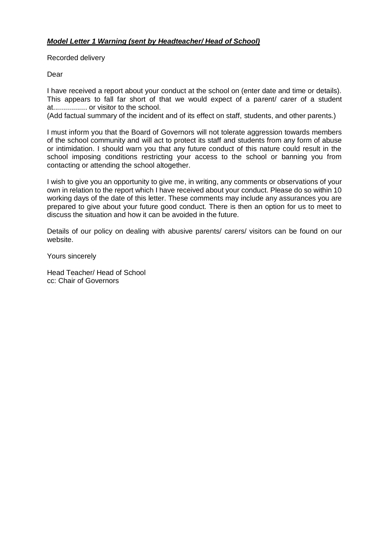# *Model Letter 1 Warning (sent by Headteacher/ Head of School)*

Recorded delivery

Dear

I have received a report about your conduct at the school on (enter date and time or details). This appears to fall far short of that we would expect of a parent/ carer of a student at................. or visitor to the school.

(Add factual summary of the incident and of its effect on staff, students, and other parents.)

I must inform you that the Board of Governors will not tolerate aggression towards members of the school community and will act to protect its staff and students from any form of abuse or intimidation. I should warn you that any future conduct of this nature could result in the school imposing conditions restricting your access to the school or banning you from contacting or attending the school altogether.

I wish to give you an opportunity to give me, in writing, any comments or observations of your own in relation to the report which I have received about your conduct. Please do so within 10 working days of the date of this letter. These comments may include any assurances you are prepared to give about your future good conduct. There is then an option for us to meet to discuss the situation and how it can be avoided in the future.

Details of our policy on dealing with abusive parents/ carers/ visitors can be found on our website.

Yours sincerely

Head Teacher/ Head of School cc: Chair of Governors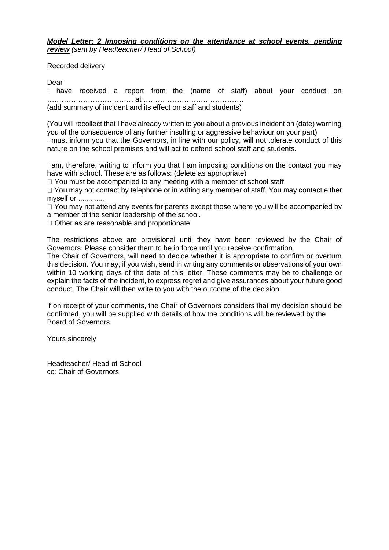*Model Letter: 2 Imposing conditions on the attendance at school events, pending review (sent by Headteacher/ Head of School)* 

Recorded delivery

Dear

I have received a report from the (name of staff) about your conduct on ……………………………… at …………………………………… (add summary of incident and its effect on staff and students)

(You will recollect that I have already written to you about a previous incident on (date) warning you of the consequence of any further insulting or aggressive behaviour on your part) I must inform you that the Governors, in line with our policy, will not tolerate conduct of this nature on the school premises and will act to defend school staff and students.

I am, therefore, writing to inform you that I am imposing conditions on the contact you may have with school. These are as follows: (delete as appropriate)

 $\Box$  You must be accompanied to any meeting with a member of school staff

 $\Box$  You may not contact by telephone or in writing any member of staff. You may contact either myself or .............

 $\Box$  You may not attend any events for parents except those where you will be accompanied by a member of the senior leadership of the school.

□ Other as are reasonable and proportionate

The restrictions above are provisional until they have been reviewed by the Chair of Governors. Please consider them to be in force until you receive confirmation.

The Chair of Governors, will need to decide whether it is appropriate to confirm or overturn this decision. You may, if you wish, send in writing any comments or observations of your own within 10 working days of the date of this letter. These comments may be to challenge or explain the facts of the incident, to express regret and give assurances about your future good conduct. The Chair will then write to you with the outcome of the decision.

If on receipt of your comments, the Chair of Governors considers that my decision should be confirmed, you will be supplied with details of how the conditions will be reviewed by the Board of Governors.

Yours sincerely

Headteacher/ Head of School cc: Chair of Governors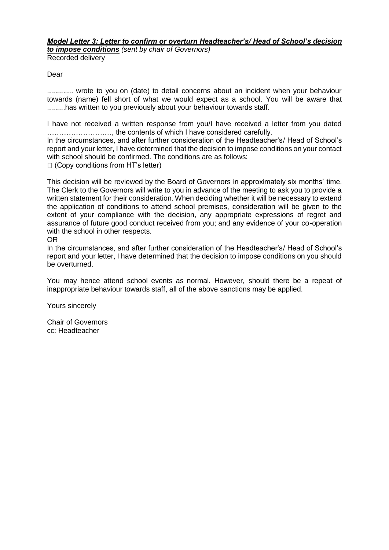*Model Letter 3: Letter to confirm or overturn Headteacher's/ Head of School's decision to impose conditions (sent by chair of Governors)*  Recorded delivery

## Dear

............. wrote to you on (date) to detail concerns about an incident when your behaviour towards (name) fell short of what we would expect as a school. You will be aware that .........has written to you previously about your behaviour towards staff.

I have not received a written response from you/I have received a letter from you dated ………………………, the contents of which I have considered carefully.

In the circumstances, and after further consideration of the Headteacher's/ Head of School's report and your letter, I have determined that the decision to impose conditions on your contact with school should be confirmed. The conditions are as follows:

 $\Box$  (Copy conditions from HT's letter)

This decision will be reviewed by the Board of Governors in approximately six months' time. The Clerk to the Governors will write to you in advance of the meeting to ask you to provide a written statement for their consideration. When deciding whether it will be necessary to extend the application of conditions to attend school premises, consideration will be given to the extent of your compliance with the decision, any appropriate expressions of regret and assurance of future good conduct received from you; and any evidence of your co-operation with the school in other respects.

### OR

In the circumstances, and after further consideration of the Headteacher's/ Head of School's report and your letter, I have determined that the decision to impose conditions on you should be overturned.

You may hence attend school events as normal. However, should there be a repeat of inappropriate behaviour towards staff, all of the above sanctions may be applied.

Yours sincerely

Chair of Governors cc: Headteacher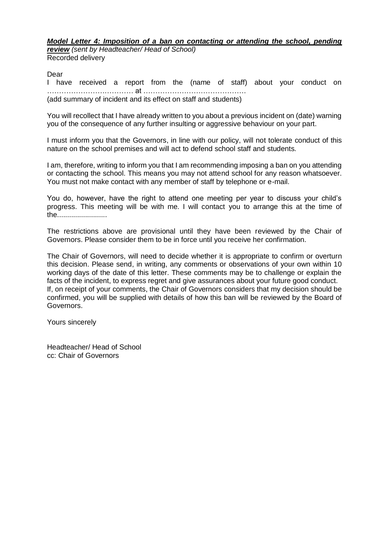*Model Letter 4: Imposition of a ban on contacting or attending the school, pending review (sent by Headteacher/ Head of School)*  Recorded delivery

Dear

I have received a report from the (name of staff) about your conduct on ……………………………… at ……………………………………. (add summary of incident and its effect on staff and students)

You will recollect that I have already written to you about a previous incident on (date) warning you of the consequence of any further insulting or aggressive behaviour on your part.

I must inform you that the Governors, in line with our policy, will not tolerate conduct of this nature on the school premises and will act to defend school staff and students.

I am, therefore, writing to inform you that I am recommending imposing a ban on you attending or contacting the school. This means you may not attend school for any reason whatsoever. You must not make contact with any member of staff by telephone or e-mail.

You do, however, have the right to attend one meeting per year to discuss your child's progress. This meeting will be with me. I will contact you to arrange this at the time of the.........................

The restrictions above are provisional until they have been reviewed by the Chair of Governors. Please consider them to be in force until you receive her confirmation.

The Chair of Governors, will need to decide whether it is appropriate to confirm or overturn this decision. Please send, in writing, any comments or observations of your own within 10 working days of the date of this letter. These comments may be to challenge or explain the facts of the incident, to express regret and give assurances about your future good conduct. If, on receipt of your comments, the Chair of Governors considers that my decision should be confirmed, you will be supplied with details of how this ban will be reviewed by the Board of Governors.

Yours sincerely

Headteacher/ Head of School cc: Chair of Governors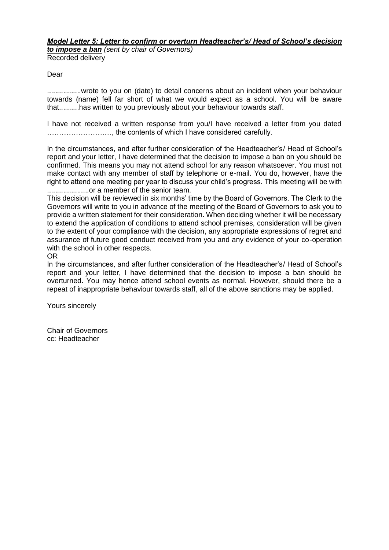### *Model Letter 5: Letter to confirm or overturn Headteacher's/ Head of School's decision to impose a ban (sent by chair of Governors)*

Recorded delivery

# Dear

.................wrote to you on (date) to detail concerns about an incident when your behaviour towards (name) fell far short of what we would expect as a school. You will be aware that..........has written to you previously about your behaviour towards staff.

I have not received a written response from you/I have received a letter from you dated ………………………, the contents of which I have considered carefully.

In the circumstances, and after further consideration of the Headteacher's/ Head of School's report and your letter, I have determined that the decision to impose a ban on you should be confirmed. This means you may not attend school for any reason whatsoever. You must not make contact with any member of staff by telephone or e-mail. You do, however, have the right to attend one meeting per year to discuss your child's progress. This meeting will be with .....................or a member of the senior team.

This decision will be reviewed in six months' time by the Board of Governors. The Clerk to the Governors will write to you in advance of the meeting of the Board of Governors to ask you to provide a written statement for their consideration. When deciding whether it will be necessary to extend the application of conditions to attend school premises, consideration will be given to the extent of your compliance with the decision, any appropriate expressions of regret and assurance of future good conduct received from you and any evidence of your co-operation with the school in other respects.

OR

In the circumstances, and after further consideration of the Headteacher's/ Head of School's report and your letter, I have determined that the decision to impose a ban should be overturned. You may hence attend school events as normal. However, should there be a repeat of inappropriate behaviour towards staff, all of the above sanctions may be applied.

Yours sincerely

Chair of Governors cc: Headteacher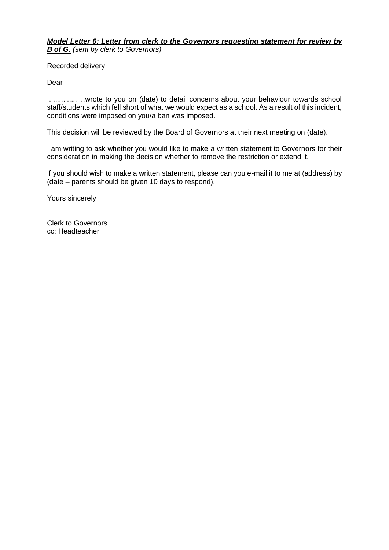## *Model Letter 6: Letter from clerk to the Governors requesting statement for review by B of G. (sent by clerk to Governors)*

Recorded delivery

Dear

...................wrote to you on (date) to detail concerns about your behaviour towards school staff/students which fell short of what we would expect as a school. As a result of this incident, conditions were imposed on you/a ban was imposed.

This decision will be reviewed by the Board of Governors at their next meeting on (date).

I am writing to ask whether you would like to make a written statement to Governors for their consideration in making the decision whether to remove the restriction or extend it.

If you should wish to make a written statement, please can you e-mail it to me at (address) by (date – parents should be given 10 days to respond).

Yours sincerely

Clerk to Governors cc: Headteacher